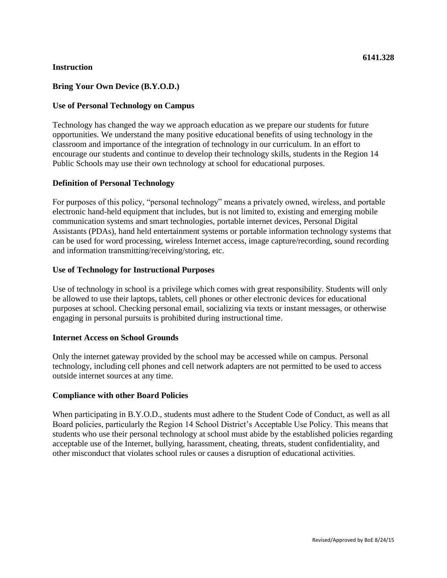# **Instruction**

# **Bring Your Own Device (B.Y.O.D.)**

## **Use of Personal Technology on Campus**

Technology has changed the way we approach education as we prepare our students for future opportunities. We understand the many positive educational benefits of using technology in the classroom and importance of the integration of technology in our curriculum. In an effort to encourage our students and continue to develop their technology skills, students in the Region 14 Public Schools may use their own technology at school for educational purposes.

# **Definition of Personal Technology**

For purposes of this policy, "personal technology" means a privately owned, wireless, and portable electronic hand-held equipment that includes, but is not limited to, existing and emerging mobile communication systems and smart technologies, portable internet devices, Personal Digital Assistants (PDAs), hand held entertainment systems or portable information technology systems that can be used for word processing, wireless Internet access, image capture/recording, sound recording and information transmitting/receiving/storing, etc.

### **Use of Technology for Instructional Purposes**

Use of technology in school is a privilege which comes with great responsibility. Students will only be allowed to use their laptops, tablets, cell phones or other electronic devices for educational purposes at school. Checking personal email, socializing via texts or instant messages, or otherwise engaging in personal pursuits is prohibited during instructional time.

### **Internet Access on School Grounds**

Only the internet gateway provided by the school may be accessed while on campus. Personal technology, including cell phones and cell network adapters are not permitted to be used to access outside internet sources at any time.

### **Compliance with other Board Policies**

When participating in B.Y.O.D., students must adhere to the Student Code of Conduct, as well as all Board policies, particularly the Region 14 School District's Acceptable Use Policy. This means that students who use their personal technology at school must abide by the established policies regarding acceptable use of the Internet, bullying, harassment, cheating, threats, student confidentiality, and other misconduct that violates school rules or causes a disruption of educational activities.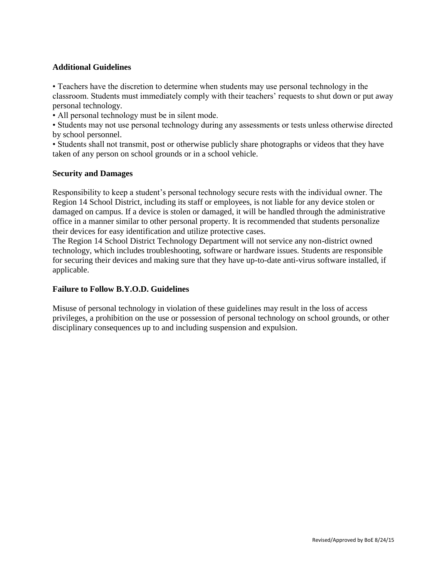# **Additional Guidelines**

• Teachers have the discretion to determine when students may use personal technology in the classroom. Students must immediately comply with their teachers' requests to shut down or put away personal technology.

• All personal technology must be in silent mode.

• Students may not use personal technology during any assessments or tests unless otherwise directed by school personnel.

• Students shall not transmit, post or otherwise publicly share photographs or videos that they have taken of any person on school grounds or in a school vehicle.

### **Security and Damages**

Responsibility to keep a student's personal technology secure rests with the individual owner. The Region 14 School District, including its staff or employees, is not liable for any device stolen or damaged on campus. If a device is stolen or damaged, it will be handled through the administrative office in a manner similar to other personal property. It is recommended that students personalize their devices for easy identification and utilize protective cases.

The Region 14 School District Technology Department will not service any non-district owned technology, which includes troubleshooting, software or hardware issues. Students are responsible for securing their devices and making sure that they have up-to-date anti-virus software installed, if applicable.

### **Failure to Follow B.Y.O.D. Guidelines**

Misuse of personal technology in violation of these guidelines may result in the loss of access privileges, a prohibition on the use or possession of personal technology on school grounds, or other disciplinary consequences up to and including suspension and expulsion.